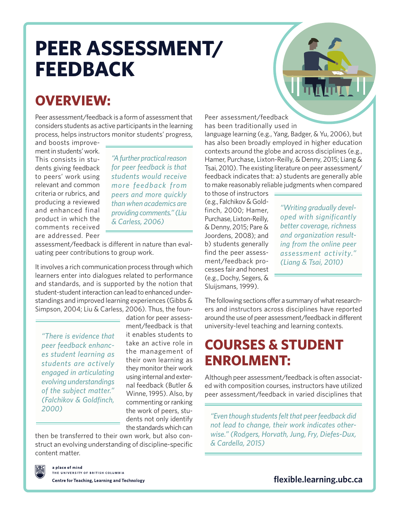# **PEER ASSESSMENT/ FEEDBACK**

### **OVERVIEW:**

Peer assessment/feedback is a form of assessment that considers students as active participants in the learning process, helps instructors monitor students' progress,

and boosts improvement in students' work. This consists in students giving feedback to peers' work using relevant and common criteria or rubrics, and producing a reviewed and enhanced final product in which the comments received are addressed. Peer

*"A further practical reason for peer feedback is that students would receive more feedback from peers and more quickly than when academics are providing comments." (Liu & Carless, 2006)*

assessment/feedback is different in nature than evaluating peer contributions to group work.

It involves a rich communication process through which learners enter into dialogues related to performance and standards, and is supported by the notion that student-student interaction can lead to enhanced understandings and improved learning experiences (Gibbs & Simpson, 2004; Liu & Carless, 2006). Thus, the foun-

*"There is evidence that peer feedback enhances student learning as students are actively engaged in articulating evolving understandings of the subject matter." (Falchikov & Goldfinch, 2000)*

dation for peer assessment/feedback is that it enables students to take an active role in the management of their own learning as they monitor their work using internal and external feedback (Butler & Winne, 1995). Also, by commenting or ranking the work of peers, students not only identify the standards which can

then be transferred to their own work, but also construct an evolving understanding of discipline-specific content matter.



a place of mind .<br>THE UNIVERSITY OF BRITISH COLUMBIA Centre for Teaching, Learning and Technology Peer assessment/feedback

has been traditionally used in language learning (e.g., Yang, Badger, & Yu, 2006), but has also been broadly employed in higher education contexts around the globe and across disciplines (e.g., Hamer, Purchase, Lixton-Reilly, & Denny, 2015; Liang & Tsai, 2010). The existing literature on peer assessment/ feedback indicates that: a) students are generally able to make reasonably reliable judgments when compared

to those of instructors (e.g., Falchikov & Goldfinch, 2000; Hamer, Purchase, Lixton-Reilly, & Denny, 2015; Pare & Joordens, 2008); and b) students generally find the peer assessment/feedback processes fair and honest (e.g., Dochy, Segers, & Sluijsmans, 1999).

*"Writing gradually developed with significantly better coverage, richness and organization resulting from the online peer assessment activity." (Liang & Tsai, 2010)*

The following sections offer a summary of what researchers and instructors across disciplines have reported around the use of peer assessment/feedback in different university-level teaching and learning contexts.

### **COURSES & STUDENT ENROLMENT:**

Although peer assessment/feedback is often associated with composition courses, instructors have utilized peer assessment/feedback in varied disciplines that

*"Even though students felt that peer feedback did not lead to change, their work indicates otherwise." (Rodgers, Horvath, Jung, Fry, Diefes-Dux, & Cardella, 2015)*